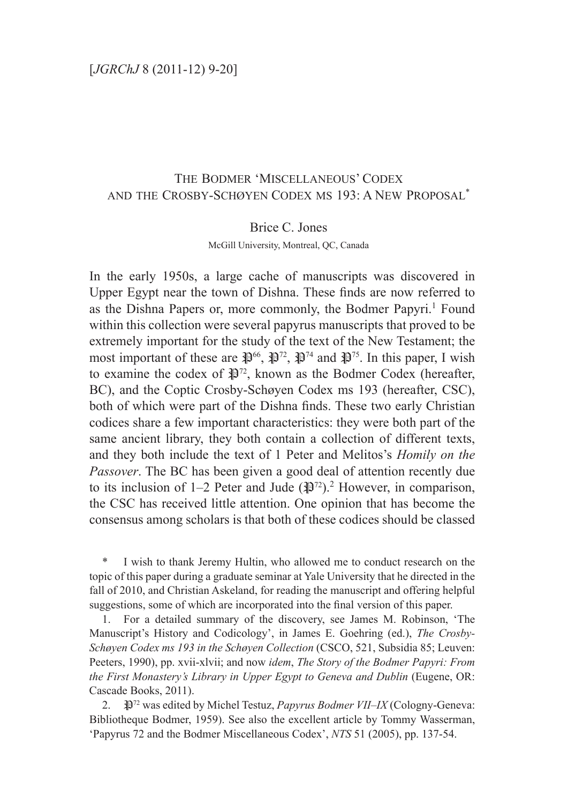# The Bodmer 'Miscellaneous' Codex and the Crosby-Schøyen Codex ms 193: A New Proposal\*

#### Brice C. Jones

McGill University, Montreal, QC, Canada

In the early 1950s, a large cache of manuscripts was discovered in Upper Egypt near the town of Dishna. These finds are now referred to as the Dishna Papers or, more commonly, the Bodmer Papyri.<sup>1</sup> Found within this collection were several papyrus manuscripts that proved to be extremely important for the study of the text of the New Testament; the most important of these are  $\mathbb{R}^{66}$ ,  $\mathbb{R}^{72}$ ,  $\mathbb{R}^{74}$  and  $\mathbb{R}^{75}$ . In this paper, I wish to examine the codex of  $\mathbb{R}^{72}$ , known as the Bodmer Codex (hereafter, BC), and the Coptic Crosby-Schøyen Codex ms 193 (hereafter, CSC), both of which were part of the Dishna finds. These two early Christian codices share a few important characteristics: they were both part of the same ancient library, they both contain a collection of different texts, and they both include the text of 1 Peter and Melitos's *Homily on the Passover*. The BC has been given a good deal of attention recently due to its inclusion of 1–2 Peter and Jude  $(\mathbb{R})^{72}$ .<sup>2</sup> However, in comparison, the CSC has received little attention. One opinion that has become the consensus among scholars is that both of these codices should be classed

I wish to thank Jeremy Hultin, who allowed me to conduct research on the topic of this paper during a graduate seminar at Yale University that he directed in the fall of 2010, and Christian Askeland, for reading the manuscript and offering helpful suggestions, some of which are incorporated into the final version of this paper.

1. For a detailed summary of the discovery, see James M. Robinson, 'The Manuscript's History and Codicology', in James E. Goehring (ed.), *The Crosby-Schøyen Codex ms 193 in the Schøyen Collection* (CSCO, 521, Subsidia 85; Leuven: Peeters, 1990), pp. xvii-xlvii; and now *idem*, *The Story of the Bodmer Papyri: From the First Monastery's Library in Upper Egypt to Geneva and Dublin* (Eugene, OR: Cascade Books, 2011).

2. P72 was edited by Michel Testuz, *Papyrus Bodmer VII–IX* (Cologny-Geneva: Bibliotheque Bodmer, 1959). See also the excellent article by Tommy Wasserman, 'Papyrus 72 and the Bodmer Miscellaneous Codex', *NTS* 51 (2005), pp. 137-54.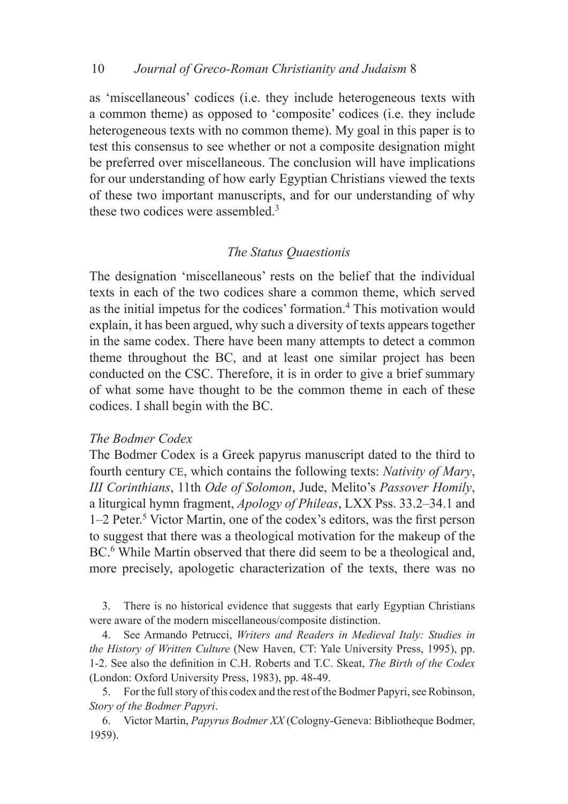#### 10 *Journal of Greco-Roman Christianity and Judaism* 8  $10<sup>°</sup>$

as 'miscellaneous' codices (i.e. they include heterogeneous texts with a common theme) as opposed to 'composite' codices (i.e. they include heterogeneous texts with no common theme). My goal in this paper is to test this consensus to see whether or not a composite designation might be preferred over miscellaneous. The conclusion will have implications for our understanding of how early Egyptian Christians viewed the texts of these two important manuscripts, and for our understanding of why these two codices were assembled.<sup>3</sup>

## *The Status Quaestionis*

The designation 'miscellaneous' rests on the belief that the individual texts in each of the two codices share a common theme, which served as the initial impetus for the codices' formation.<sup>4</sup> This motivation would explain, it has been argued, why such a diversity of texts appears together in the same codex. There have been many attempts to detect a common theme throughout the BC, and at least one similar project has been conducted on the CSC. Therefore, it is in order to give a brief summary of what some have thought to be the common theme in each of these codices. I shall begin with the BC.

#### *The Bodmer Codex*

The Bodmer Codex is a Greek papyrus manuscript dated to the third to fourth century ce, which contains the following texts: *Nativity of Mary*, *III Corinthians*, 11th *Ode of Solomon*, Jude, Melito's *Passover Homily*, a liturgical hymn fragment, *Apology of Phileas*, LXX Pss. 33.2–34.1 and 1–2 Peter.<sup>5</sup> Victor Martin, one of the codex's editors, was the first person to suggest that there was a theological motivation for the makeup of the BC.<sup>6</sup> While Martin observed that there did seem to be a theological and, more precisely, apologetic characterization of the texts, there was no

3. There is no historical evidence that suggests that early Egyptian Christians were aware of the modern miscellaneous/composite distinction.

4. See Armando Petrucci, *Writers and Readers in Medieval Italy: Studies in the History of Written Culture* (New Haven, CT: Yale University Press, 1995), pp. 1-2. See also the definition in C.H. Roberts and T.C. Skeat, *The Birth of the Codex* (London: Oxford University Press, 1983), pp. 48-49.

5. For the full story of this codex and the rest of the Bodmer Papyri, see Robinson, *Story of the Bodmer Papyri*.

6. Victor Martin, *Papyrus Bodmer XX* (Cologny-Geneva: Bibliotheque Bodmer, 1959).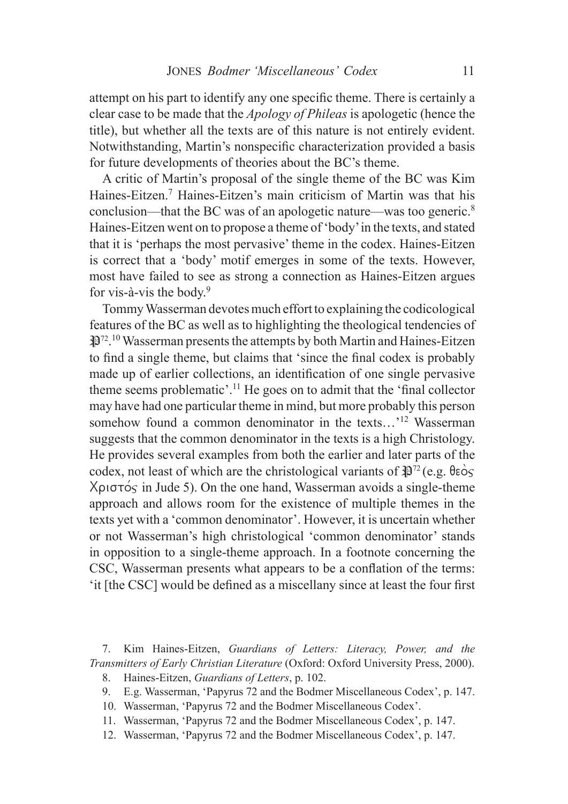attempt on his part to identify any one specific theme. There is certainly a clear case to be made that the *Apology of Phileas* is apologetic (hence the title), but whether all the texts are of this nature is not entirely evident. Notwithstanding, Martin's nonspecific characterization provided a basis for future developments of theories about the BC's theme.

A critic of Martin's proposal of the single theme of the BC was Kim Haines-Eitzen.7 Haines-Eitzen's main criticism of Martin was that his conclusion—that the BC was of an apologetic nature—was too generic.<sup>8</sup> Haines-Eitzen went on to propose a theme of 'body' in the texts, and stated that it is 'perhaps the most pervasive' theme in the codex. Haines-Eitzen is correct that a 'body' motif emerges in some of the texts. However, most have failed to see as strong a connection as Haines-Eitzen argues for vis-à-vis the body.9

Tommy Wasserman devotes much effort to explaining the codicological features of the BC as well as to highlighting the theological tendencies of **P**<sup>72</sup>.<sup>10</sup> Wasserman presents the attempts by both Martin and Haines-Eitzen to find a single theme, but claims that 'since the final codex is probably made up of earlier collections, an identification of one single pervasive theme seems problematic'.11 He goes on to admit that the 'final collector may have had one particular theme in mind, but more probably this person somehow found a common denominator in the texts...'<sup>12</sup> Wasserman suggests that the common denominator in the texts is a high Christology. He provides several examples from both the earlier and later parts of the codex, not least of which are the christological variants of  $\mathbb{R}^{72}$  (e.g.  $\theta \in \infty$ )  $X_{\rho}$   $\sigma$  in Jude 5). On the one hand, Wasserman avoids a single-theme approach and allows room for the existence of multiple themes in the texts yet with a 'common denominator'. However, it is uncertain whether or not Wasserman's high christological 'common denominator' stands in opposition to a single-theme approach. In a footnote concerning the CSC, Wasserman presents what appears to be a conflation of the terms: 'it [the CSC] would be defined as a miscellany since at least the four first

- 9. E.g. Wasserman, 'Papyrus 72 and the Bodmer Miscellaneous Codex', p. 147.
- 10. Wasserman, 'Papyrus 72 and the Bodmer Miscellaneous Codex'.
- 11. Wasserman, 'Papyrus 72 and the Bodmer Miscellaneous Codex', p. 147.
- 12. Wasserman, 'Papyrus 72 and the Bodmer Miscellaneous Codex', p. 147.

<sup>7.</sup> Kim Haines-Eitzen, *Guardians of Letters: Literacy, Power, and the Transmitters of Early Christian Literature* (Oxford: Oxford University Press, 2000).

<sup>8.</sup> Haines-Eitzen, *Guardians of Letters*, p. 102.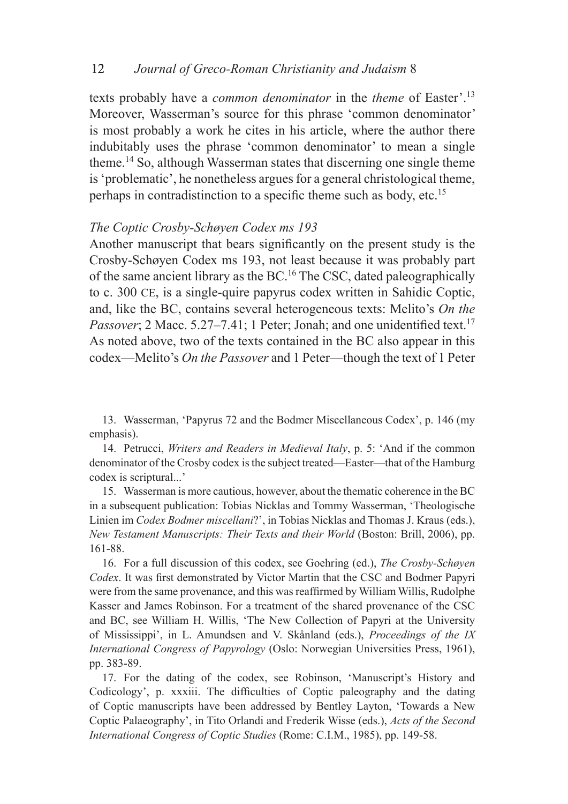#### 12 *Journal of Greco-Roman Christianity and Judaism* 8 12

texts probably have a *common denominator* in the *theme* of Easter'.13 Moreover, Wasserman's source for this phrase 'common denominator' is most probably a work he cites in his article, where the author there indubitably uses the phrase 'common denominator' to mean a single theme.14 So, although Wasserman states that discerning one single theme is 'problematic', he nonetheless argues for a general christological theme, perhaps in contradistinction to a specific theme such as body, etc.<sup>15</sup>

#### *The Coptic Crosby-Schøyen Codex ms 193*

Another manuscript that bears significantly on the present study is the Crosby-Schøyen Codex ms 193, not least because it was probably part of the same ancient library as the BC.16 The CSC, dated paleographically to c. 300 CE, is a single-quire papyrus codex written in Sahidic Coptic, and, like the BC, contains several heterogeneous texts: Melito's *On the*  Passover; 2 Macc. 5.27–7.41; 1 Peter; Jonah; and one unidentified text.<sup>17</sup> As noted above, two of the texts contained in the BC also appear in this codex—Melito's *On the Passover* and 1 Peter—though the text of 1 Peter

13. Wasserman, 'Papyrus 72 and the Bodmer Miscellaneous Codex', p. 146 (my emphasis).

14. Petrucci, *Writers and Readers in Medieval Italy*, p. 5: 'And if the common denominator of the Crosby codex is the subject treated—Easter—that of the Hamburg codex is scriptural...'

15. Wasserman is more cautious, however, about the thematic coherence in the BC in a subsequent publication: Tobias Nicklas and Tommy Wasserman, 'Theologische Linien im *Codex Bodmer miscellani*?', in Tobias Nicklas and Thomas J. Kraus (eds.), *New Testament Manuscripts: Their Texts and their World* (Boston: Brill, 2006), pp. 161-88.

16. For a full discussion of this codex, see Goehring (ed.), *The Crosby-Schøyen Codex*. It was first demonstrated by Victor Martin that the CSC and Bodmer Papyri were from the same provenance, and this was reaffirmed by William Willis, Rudolphe Kasser and James Robinson. For a treatment of the shared provenance of the CSC and BC, see William H. Willis, 'The New Collection of Papyri at the University of Mississippi', in L. Amundsen and V. Skånland (eds.), *Proceedings of the IX International Congress of Papyrology* (Oslo: Norwegian Universities Press, 1961), pp. 383-89.

17. For the dating of the codex, see Robinson, 'Manuscript's History and Codicology', p. xxxiii. The difficulties of Coptic paleography and the dating of Coptic manuscripts have been addressed by Bentley Layton, 'Towards a New Coptic Palaeography', in Tito Orlandi and Frederik Wisse (eds.), *Acts of the Second International Congress of Coptic Studies* (Rome: C.I.M., 1985), pp. 149-58.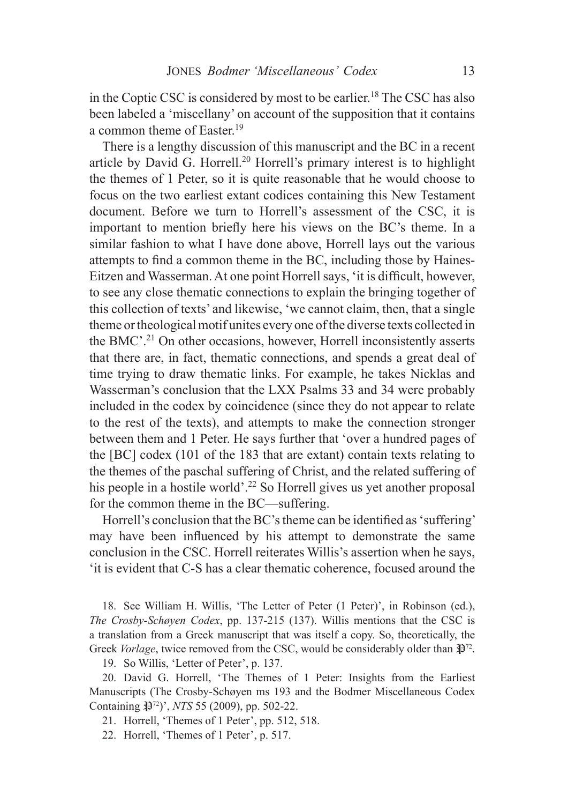in the Coptic CSC is considered by most to be earlier.<sup>18</sup> The CSC has also been labeled a 'miscellany' on account of the supposition that it contains a common theme of Easter.<sup>19</sup>

There is a lengthy discussion of this manuscript and the BC in a recent article by David G. Horrell.<sup>20</sup> Horrell's primary interest is to highlight the themes of 1 Peter, so it is quite reasonable that he would choose to focus on the two earliest extant codices containing this New Testament document. Before we turn to Horrell's assessment of the CSC, it is important to mention briefly here his views on the BC's theme. In a similar fashion to what I have done above, Horrell lays out the various attempts to find a common theme in the BC, including those by Haines-Eitzen and Wasserman. At one point Horrell says, 'it is difficult, however, to see any close thematic connections to explain the bringing together of this collection of texts' and likewise, 'we cannot claim, then, that a single theme or theological motif unites every one of the diverse texts collected in the BMC'.21 On other occasions, however, Horrell inconsistently asserts that there are, in fact, thematic connections, and spends a great deal of time trying to draw thematic links. For example, he takes Nicklas and Wasserman's conclusion that the LXX Psalms 33 and 34 were probably included in the codex by coincidence (since they do not appear to relate to the rest of the texts), and attempts to make the connection stronger between them and 1 Peter. He says further that 'over a hundred pages of the [BC] codex (101 of the 183 that are extant) contain texts relating to the themes of the paschal suffering of Christ, and the related suffering of his people in a hostile world'.<sup>22</sup> So Horrell gives us yet another proposal for the common theme in the BC—suffering.

Horrell's conclusion that the BC's theme can be identified as 'suffering' may have been influenced by his attempt to demonstrate the same conclusion in the CSC. Horrell reiterates Willis's assertion when he says, 'it is evident that C-S has a clear thematic coherence, focused around the

18. See William H. Willis, 'The Letter of Peter (1 Peter)', in Robinson (ed.), *The Crosby-Schøyen Codex*, pp. 137-215 (137). Willis mentions that the CSC is a translation from a Greek manuscript that was itself a copy. So, theoretically, the Greek *Vorlage*, twice removed from the CSC, would be considerably older than  $\mathbb{R}^{72}$ .

19. So Willis, 'Letter of Peter', p. 137.

20. David G. Horrell, 'The Themes of 1 Peter: Insights from the Earliest Manuscripts (The Crosby-Schøyen ms 193 and the Bodmer Miscellaneous Codex Containing  $\mathbb{P}^{72}$ <sup>'</sup>, *NTS* 55 (2009), pp. 502-22.

21. Horrell, 'Themes of 1 Peter', pp. 512, 518.

22. Horrell, 'Themes of 1 Peter', p. 517.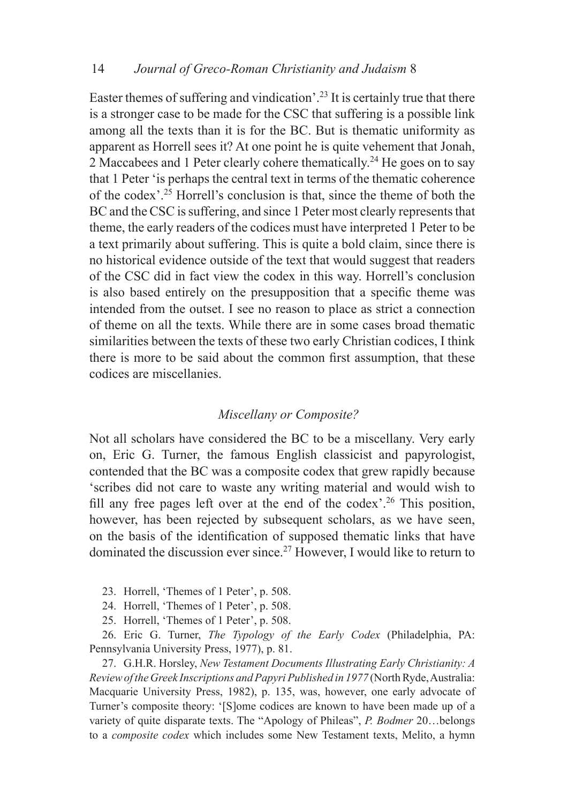Easter themes of suffering and vindication'.<sup>23</sup> It is certainly true that there is a stronger case to be made for the CSC that suffering is a possible link among all the texts than it is for the BC. But is thematic uniformity as apparent as Horrell sees it? At one point he is quite vehement that Jonah, 2 Maccabees and 1 Peter clearly cohere thematically.<sup>24</sup> He goes on to say that 1 Peter 'is perhaps the central text in terms of the thematic coherence of the codex'.25 Horrell's conclusion is that, since the theme of both the BC and the CSC is suffering, and since 1 Peter most clearly represents that theme, the early readers of the codices must have interpreted 1 Peter to be a text primarily about suffering. This is quite a bold claim, since there is no historical evidence outside of the text that would suggest that readers of the CSC did in fact view the codex in this way. Horrell's conclusion is also based entirely on the presupposition that a specific theme was intended from the outset. I see no reason to place as strict a connection of theme on all the texts. While there are in some cases broad thematic similarities between the texts of these two early Christian codices, I think there is more to be said about the common first assumption, that these codices are miscellanies.

### *Miscellany or Composite?*

Not all scholars have considered the BC to be a miscellany. Very early on, Eric G. Turner, the famous English classicist and papyrologist, contended that the BC was a composite codex that grew rapidly because 'scribes did not care to waste any writing material and would wish to fill any free pages left over at the end of the codex'.<sup>26</sup> This position, however, has been rejected by subsequent scholars, as we have seen, on the basis of the identification of supposed thematic links that have dominated the discussion ever since.27 However, I would like to return to

- 23. Horrell, 'Themes of 1 Peter', p. 508.
- 24. Horrell, 'Themes of 1 Peter', p. 508.
- 25. Horrell, 'Themes of 1 Peter', p. 508.

26. Eric G. Turner, *The Typology of the Early Codex* (Philadelphia, PA: Pennsylvania University Press, 1977), p. 81.

27. G.H.R. Horsley, *New Testament Documents Illustrating Early Christianity: A Review of the Greek Inscriptions and Papyri Published in 1977* (North Ryde, Australia: Macquarie University Press, 1982), p. 135, was, however, one early advocate of Turner's composite theory: '[S]ome codices are known to have been made up of a variety of quite disparate texts. The "Apology of Phileas", *P. Bodmer* 20…belongs to a *composite codex* which includes some New Testament texts, Melito, a hymn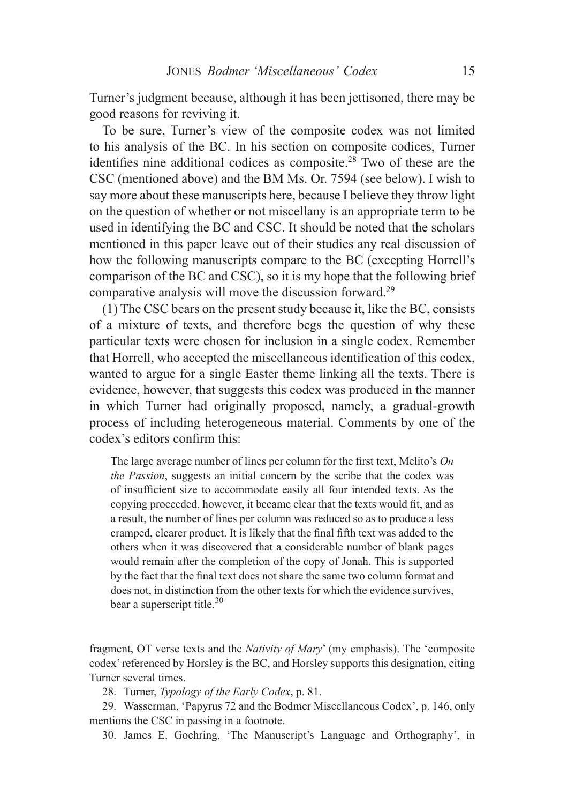Turner's judgment because, although it has been jettisoned, there may be good reasons for reviving it.

To be sure, Turner's view of the composite codex was not limited to his analysis of the BC. In his section on composite codices, Turner identifies nine additional codices as composite.<sup>28</sup> Two of these are the CSC (mentioned above) and the BM Ms. Or. 7594 (see below). I wish to say more about these manuscripts here, because I believe they throw light on the question of whether or not miscellany is an appropriate term to be used in identifying the BC and CSC. It should be noted that the scholars mentioned in this paper leave out of their studies any real discussion of how the following manuscripts compare to the BC (excepting Horrell's comparison of the BC and CSC), so it is my hope that the following brief comparative analysis will move the discussion forward.29

(1) The CSC bears on the present study because it, like the BC, consists of a mixture of texts, and therefore begs the question of why these particular texts were chosen for inclusion in a single codex. Remember that Horrell, who accepted the miscellaneous identification of this codex, wanted to argue for a single Easter theme linking all the texts. There is evidence, however, that suggests this codex was produced in the manner in which Turner had originally proposed, namely, a gradual-growth process of including heterogeneous material. Comments by one of the codex's editors confirm this:

The large average number of lines per column for the first text, Melito's *On the Passion*, suggests an initial concern by the scribe that the codex was of insufficient size to accommodate easily all four intended texts. As the copying proceeded, however, it became clear that the texts would fit, and as a result, the number of lines per column was reduced so as to produce a less cramped, clearer product. It is likely that the final fifth text was added to the others when it was discovered that a considerable number of blank pages would remain after the completion of the copy of Jonah. This is supported by the fact that the final text does not share the same two column format and does not, in distinction from the other texts for which the evidence survives, bear a superscript title. $30$ 

fragment, OT verse texts and the *Nativity of Mary*' (my emphasis). The 'composite codex' referenced by Horsley is the BC, and Horsley supports this designation, citing Turner several times.

28. Turner, *Typology of the Early Codex*, p. 81.

29. Wasserman, 'Papyrus 72 and the Bodmer Miscellaneous Codex', p. 146, only mentions the CSC in passing in a footnote.

30. James E. Goehring, 'The Manuscript's Language and Orthography', in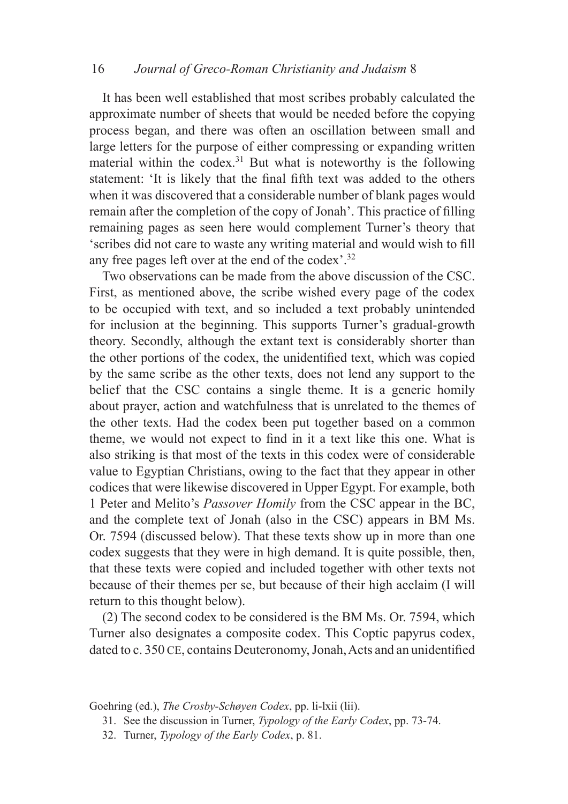### 16 *Journal of Greco-Roman Christianity and Judaism* 8

It has been well established that most scribes probably calculated the approximate number of sheets that would be needed before the copying process began, and there was often an oscillation between small and large letters for the purpose of either compressing or expanding written material within the codex.<sup>31</sup> But what is noteworthy is the following statement: 'It is likely that the final fifth text was added to the others when it was discovered that a considerable number of blank pages would remain after the completion of the copy of Jonah'. This practice of filling remaining pages as seen here would complement Turner's theory that 'scribes did not care to waste any writing material and would wish to fill any free pages left over at the end of the codex'.32

Two observations can be made from the above discussion of the CSC. First, as mentioned above, the scribe wished every page of the codex to be occupied with text, and so included a text probably unintended for inclusion at the beginning. This supports Turner's gradual-growth theory. Secondly, although the extant text is considerably shorter than the other portions of the codex, the unidentified text, which was copied by the same scribe as the other texts, does not lend any support to the belief that the CSC contains a single theme. It is a generic homily about prayer, action and watchfulness that is unrelated to the themes of the other texts. Had the codex been put together based on a common theme, we would not expect to find in it a text like this one. What is also striking is that most of the texts in this codex were of considerable value to Egyptian Christians, owing to the fact that they appear in other codices that were likewise discovered in Upper Egypt. For example, both 1 Peter and Melito's *Passover Homily* from the CSC appear in the BC, and the complete text of Jonah (also in the CSC) appears in BM Ms. Or. 7594 (discussed below). That these texts show up in more than one codex suggests that they were in high demand. It is quite possible, then, that these texts were copied and included together with other texts not because of their themes per se, but because of their high acclaim (I will return to this thought below).

(2) The second codex to be considered is the BM Ms. Or. 7594, which Turner also designates a composite codex. This Coptic papyrus codex, dated to c. 350 CE, contains Deuteronomy, Jonah, Acts and an unidentified

Goehring (ed.), *The Crosby-Schøyen Codex*, pp. li-lxii (lii).

- 31. See the discussion in Turner, *Typology of the Early Codex*, pp. 73-74.
- 32. Turner, *Typology of the Early Codex*, p. 81.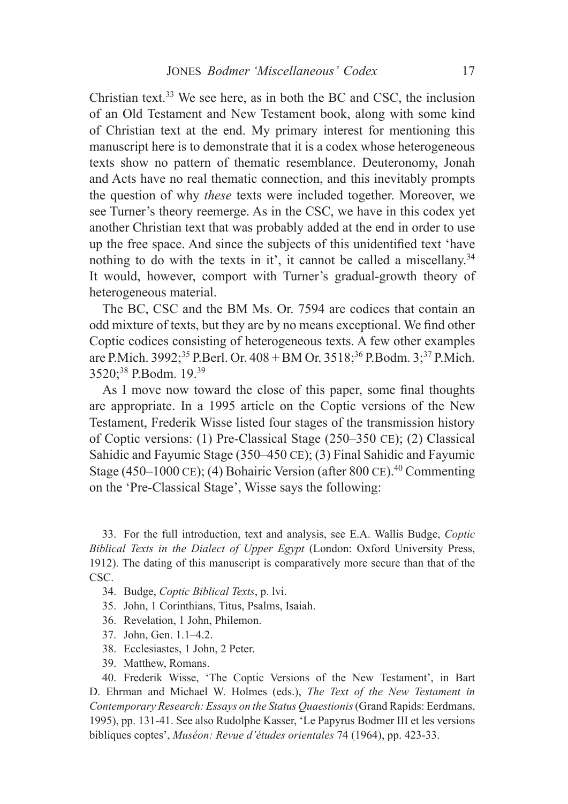Christian text.<sup>33</sup> We see here, as in both the BC and CSC, the inclusion of an Old Testament and New Testament book, along with some kind of Christian text at the end. My primary interest for mentioning this manuscript here is to demonstrate that it is a codex whose heterogeneous texts show no pattern of thematic resemblance. Deuteronomy, Jonah and Acts have no real thematic connection, and this inevitably prompts the question of why *these* texts were included together. Moreover, we see Turner's theory reemerge. As in the CSC, we have in this codex yet another Christian text that was probably added at the end in order to use up the free space. And since the subjects of this unidentified text 'have nothing to do with the texts in it', it cannot be called a miscellany.<sup>34</sup> It would, however, comport with Turner's gradual-growth theory of heterogeneous material.

The BC, CSC and the BM Ms. Or. 7594 are codices that contain an odd mixture of texts, but they are by no means exceptional. We find other Coptic codices consisting of heterogeneous texts. A few other examples are P.Mich. 3992;<sup>35</sup> P.Berl. Or. 408 + BM Or. 3518;<sup>36</sup> P.Bodm. 3;<sup>37</sup> P.Mich. 3520;38 P.Bodm. 19.39

As I move now toward the close of this paper, some final thoughts are appropriate. In a 1995 article on the Coptic versions of the New Testament, Frederik Wisse listed four stages of the transmission history of Coptic versions: (1) Pre-Classical Stage (250–350 ce); (2) Classical Sahidic and Fayumic Stage (350–450 ce); (3) Final Sahidic and Fayumic Stage (450–1000 CE); (4) Bohairic Version (after 800 CE).<sup>40</sup> Commenting on the 'Pre-Classical Stage', Wisse says the following:

33. For the full introduction, text and analysis, see E.A. Wallis Budge, *Coptic Biblical Texts in the Dialect of Upper Egypt* (London: Oxford University Press, 1912). The dating of this manuscript is comparatively more secure than that of the CSC.

- 34. Budge, *Coptic Biblical Texts*, p. lvi.
- 35. John, 1 Corinthians, Titus, Psalms, Isaiah.
- 36. Revelation, 1 John, Philemon.
- 37. John, Gen. 1.1–4.2.
- 38. Ecclesiastes, 1 John, 2 Peter.
- 39. Matthew, Romans.

40. Frederik Wisse, 'The Coptic Versions of the New Testament', in Bart D. Ehrman and Michael W. Holmes (eds.), *The Text of the New Testament in Contemporary Research: Essays on the Status Quaestionis* (Grand Rapids: Eerdmans, 1995), pp. 131-41. See also Rudolphe Kasser, 'Le Papyrus Bodmer III et les versions bibliques coptes', *Muséon: Revue d'études orientales* 74 (1964), pp. 423-33.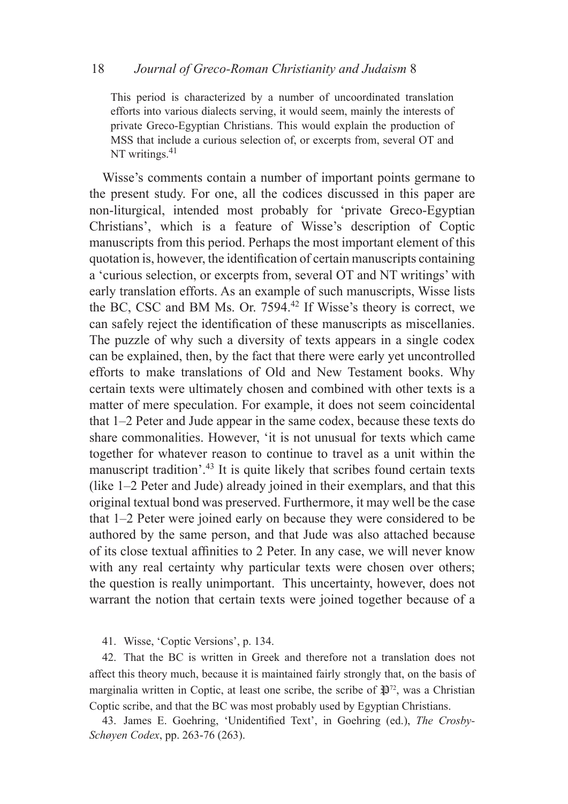#### 18 *Journal of Greco-Roman Christianity and Judaism* 8

This period is characterized by a number of uncoordinated translation efforts into various dialects serving, it would seem, mainly the interests of private Greco-Egyptian Christians. This would explain the production of MSS that include a curious selection of, or excerpts from, several OT and NT writings. $41$ 

Wisse's comments contain a number of important points germane to the present study. For one, all the codices discussed in this paper are non-liturgical, intended most probably for 'private Greco-Egyptian Christians', which is a feature of Wisse's description of Coptic manuscripts from this period. Perhaps the most important element of this quotation is, however, the identification of certain manuscripts containing a 'curious selection, or excerpts from, several OT and NT writings' with early translation efforts. As an example of such manuscripts, Wisse lists the BC, CSC and BM Ms. Or. 7594.42 If Wisse's theory is correct, we can safely reject the identification of these manuscripts as miscellanies. The puzzle of why such a diversity of texts appears in a single codex can be explained, then, by the fact that there were early yet uncontrolled efforts to make translations of Old and New Testament books. Why certain texts were ultimately chosen and combined with other texts is a matter of mere speculation. For example, it does not seem coincidental that 1–2 Peter and Jude appear in the same codex, because these texts do share commonalities. However, 'it is not unusual for texts which came together for whatever reason to continue to travel as a unit within the manuscript tradition'.43 It is quite likely that scribes found certain texts (like 1–2 Peter and Jude) already joined in their exemplars, and that this original textual bond was preserved. Furthermore, it may well be the case that 1–2 Peter were joined early on because they were considered to be authored by the same person, and that Jude was also attached because of its close textual affinities to 2 Peter. In any case, we will never know with any real certainty why particular texts were chosen over others; the question is really unimportant. This uncertainty, however, does not warrant the notion that certain texts were joined together because of a

41. Wisse, 'Coptic Versions', p. 134.

42. That the BC is written in Greek and therefore not a translation does not affect this theory much, because it is maintained fairly strongly that, on the basis of marginalia written in Coptic, at least one scribe, the scribe of  $\mathbb{R}^{72}$ , was a Christian Coptic scribe, and that the BC was most probably used by Egyptian Christians.

43. James E. Goehring, 'Unidentified Text', in Goehring (ed.), *The Crosby-Schøyen Codex*, pp. 263-76 (263).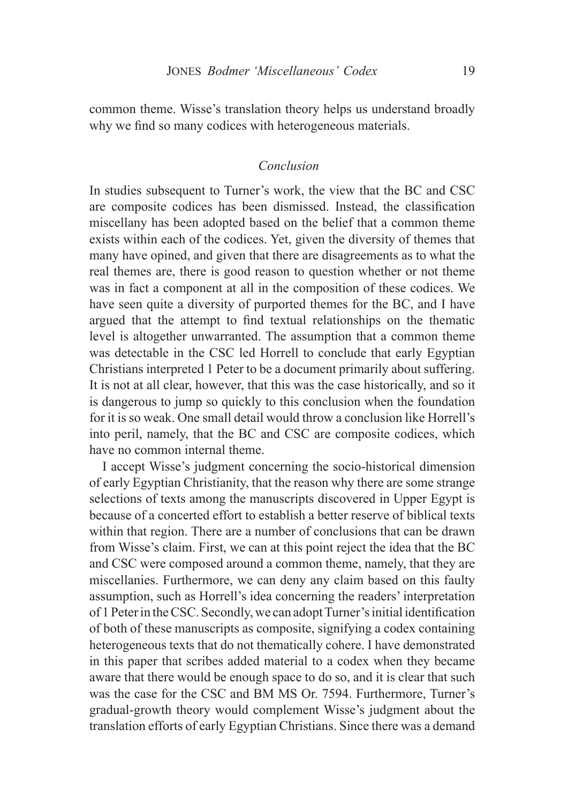common theme. Wisse's translation theory helps us understand broadly why we find so many codices with heterogeneous materials.

## *Conclusion*

In studies subsequent to Turner's work, the view that the BC and CSC are composite codices has been dismissed. Instead, the classification miscellany has been adopted based on the belief that a common theme exists within each of the codices. Yet, given the diversity of themes that many have opined, and given that there are disagreements as to what the real themes are, there is good reason to question whether or not theme was in fact a component at all in the composition of these codices. We have seen quite a diversity of purported themes for the BC, and I have argued that the attempt to find textual relationships on the thematic level is altogether unwarranted. The assumption that a common theme was detectable in the CSC led Horrell to conclude that early Egyptian Christians interpreted 1 Peter to be a document primarily about suffering. It is not at all clear, however, that this was the case historically, and so it is dangerous to jump so quickly to this conclusion when the foundation for it is so weak. One small detail would throw a conclusion like Horrell's into peril, namely, that the BC and CSC are composite codices, which have no common internal theme.

I accept Wisse's judgment concerning the socio-historical dimension of early Egyptian Christianity, that the reason why there are some strange selections of texts among the manuscripts discovered in Upper Egypt is because of a concerted effort to establish a better reserve of biblical texts within that region. There are a number of conclusions that can be drawn from Wisse's claim. First, we can at this point reject the idea that the BC and CSC were composed around a common theme, namely, that they are miscellanies. Furthermore, we can deny any claim based on this faulty assumption, such as Horrell's idea concerning the readers' interpretation of 1 Peter in the CSC. Secondly, we can adopt Turner's initial identification of both of these manuscripts as composite, signifying a codex containing heterogeneous texts that do not thematically cohere. I have demonstrated in this paper that scribes added material to a codex when they became aware that there would be enough space to do so, and it is clear that such was the case for the CSC and BM MS Or. 7594. Furthermore, Turner's gradual-growth theory would complement Wisse's judgment about the translation efforts of early Egyptian Christians. Since there was a demand